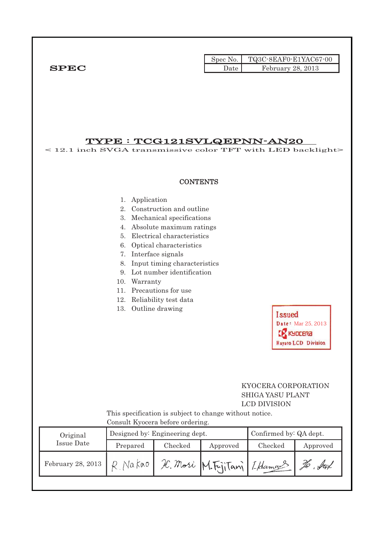|              |        | Spec No. TQ3C-8EAF0-E1YAC67-00 |
|--------------|--------|--------------------------------|
| ${\bf SPEC}$ | Date . | February 28, 2013              |

# TYPE : TCG121SVLQEPNN-AN20

< 12.1 inch SVGA transmissive color TFT with LED backlight> **CONTENTS** 1. Application 2. Construction and outline 3. Mechanical specifications 4. Absolute maximum ratings 5. Electrical characteristics 6. Optical characteristics 7. Interface signals 8. Input timing characteristics 9. Lot number identification 10. Warranty 11. Precautions for use 12. Reliability test data 13. Outline drawing **Issued** Date: Mar 25, 2013 **CR** KYDCERA Hayato LCD Division

# KYOCERA CORPORATION SHIGA YASU PLANT LCD DIVISION

 This specification is subject to change without notice. Consult Kyocera before ordering.

| Original |                   | Designed by: Engineering dept. | Confirmed by: QA dept. |                              |         |            |  |  |  |  |  |
|----------|-------------------|--------------------------------|------------------------|------------------------------|---------|------------|--|--|--|--|--|
|          | Issue Date        | Prepared                       | Checked                | Approved                     | Checked | Approved   |  |  |  |  |  |
|          | February 28, 2013 | R. Nakao                       |                        | IC. Mori M. FijiTani LHamaus |         | . ful<br>Þ |  |  |  |  |  |
|          |                   |                                |                        |                              |         |            |  |  |  |  |  |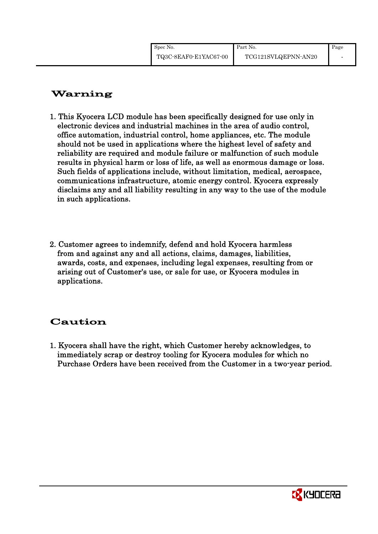# Warning

- 1. This Kyocera LCD module has been specifically designed for use only in electronic devices and industrial machines in the area of audio control, office automation, industrial control, home appliances, etc. The module should not be used in applications where the highest level of safety and reliability are required and module failure or malfunction of such module results in physical harm or loss of life, as well as enormous damage or loss. Such fields of applications include, without limitation, medical, aerospace, communications infrastructure, atomic energy control. Kyocera expressly disclaims any and all liability resulting in any way to the use of the module in such applications.
- 2. Customer agrees to indemnify, defend and hold Kyocera harmless from and against any and all actions, claims, damages, liabilities, awards, costs, and expenses, including legal expenses, resulting from or arising out of Customer's use, or sale for use, or Kyocera modules in applications.

# Caution

1. Kyocera shall have the right, which Customer hereby acknowledges, to immediately scrap or destroy tooling for Kyocera modules for which no Purchase Orders have been received from the Customer in a two-year period.

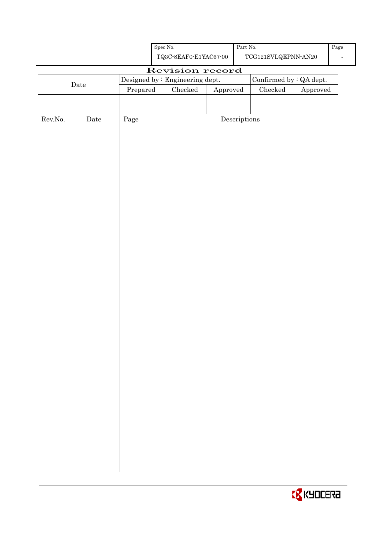|                  |      |                                                                                            |  | ${\rm Spec}$ No.                                             |          | Part No. $\,$ |               |          |  |
|------------------|------|--------------------------------------------------------------------------------------------|--|--------------------------------------------------------------|----------|---------------|---------------|----------|--|
|                  |      | ${\bf TQ3C\text{-}8EAF0\text{-}E1YAC67\text{-}00}$<br>$\operatorname{TCG121SVLQEPNN-AN20}$ |  |                                                              |          |               |               |          |  |
|                  |      |                                                                                            |  | Revision record                                              |          |               |               |          |  |
|                  |      |                                                                                            |  | Confirmed by $: QA$ dept.<br>Designed by : Engineering dept. |          |               |               |          |  |
|                  | Date | Prepared                                                                                   |  | Checked                                                      | Approved |               | $\rm Checked$ | Approved |  |
|                  |      |                                                                                            |  |                                                              |          |               |               |          |  |
|                  |      |                                                                                            |  |                                                              |          |               |               |          |  |
| ${\rm Rev. No.}$ | Date | Page                                                                                       |  |                                                              |          | Descriptions  |               |          |  |
|                  |      |                                                                                            |  |                                                              |          |               |               |          |  |
|                  |      |                                                                                            |  |                                                              |          |               |               |          |  |
|                  |      |                                                                                            |  |                                                              |          |               |               |          |  |
|                  |      |                                                                                            |  |                                                              |          |               |               |          |  |
|                  |      |                                                                                            |  |                                                              |          |               |               |          |  |
|                  |      |                                                                                            |  |                                                              |          |               |               |          |  |
|                  |      |                                                                                            |  |                                                              |          |               |               |          |  |
|                  |      |                                                                                            |  |                                                              |          |               |               |          |  |
|                  |      |                                                                                            |  |                                                              |          |               |               |          |  |
|                  |      |                                                                                            |  |                                                              |          |               |               |          |  |
|                  |      |                                                                                            |  |                                                              |          |               |               |          |  |
|                  |      |                                                                                            |  |                                                              |          |               |               |          |  |
|                  |      |                                                                                            |  |                                                              |          |               |               |          |  |
|                  |      |                                                                                            |  |                                                              |          |               |               |          |  |
|                  |      |                                                                                            |  |                                                              |          |               |               |          |  |
|                  |      |                                                                                            |  |                                                              |          |               |               |          |  |
|                  |      |                                                                                            |  |                                                              |          |               |               |          |  |
|                  |      |                                                                                            |  |                                                              |          |               |               |          |  |
|                  |      |                                                                                            |  |                                                              |          |               |               |          |  |
|                  |      |                                                                                            |  |                                                              |          |               |               |          |  |
|                  |      |                                                                                            |  |                                                              |          |               |               |          |  |
|                  |      |                                                                                            |  |                                                              |          |               |               |          |  |
|                  |      |                                                                                            |  |                                                              |          |               |               |          |  |
|                  |      |                                                                                            |  |                                                              |          |               |               |          |  |
|                  |      |                                                                                            |  |                                                              |          |               |               |          |  |
|                  |      |                                                                                            |  |                                                              |          |               |               |          |  |
|                  |      |                                                                                            |  |                                                              |          |               |               |          |  |
|                  |      |                                                                                            |  |                                                              |          |               |               |          |  |
|                  |      |                                                                                            |  |                                                              |          |               |               |          |  |
|                  |      |                                                                                            |  |                                                              |          |               |               |          |  |
|                  |      |                                                                                            |  |                                                              |          |               |               |          |  |
|                  |      |                                                                                            |  |                                                              |          |               |               |          |  |
|                  |      |                                                                                            |  |                                                              |          |               |               |          |  |
|                  |      |                                                                                            |  |                                                              |          |               |               |          |  |
|                  |      |                                                                                            |  |                                                              |          |               |               |          |  |
|                  |      |                                                                                            |  |                                                              |          |               |               |          |  |

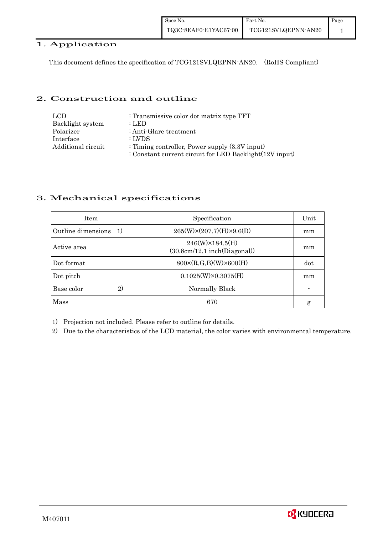| Spec No.              | Part No.            | Page |
|-----------------------|---------------------|------|
| TQ3C-8EAF0-E1YAC67-00 | TCG121SVLQEPNN-AN20 |      |

# 1. Application

This document defines the specification of TCG121SVLQEPNN-AN20. (RoHS Compliant)

#### 2. Construction and outline

| LCD.               | : Transmissive color dot matrix type TFT                   |
|--------------------|------------------------------------------------------------|
| Backlight system   | : LED                                                      |
| Polarizer          | : Anti-Glare treatment                                     |
| Interface          | : LVDS                                                     |
| Additional circuit | : Timing controller, Power supply $(3.3V)$ input)          |
|                    | : Constant current circuit for LED Backlight $(12V$ input) |

#### 3. Mechanical specifications

| <b>Item</b>               | Specification                                                 | Unit |
|---------------------------|---------------------------------------------------------------|------|
| Outline dimensions<br>-1) | $265(W)\times(207.7)(H)\times9.6(D)$                          | mm   |
| Active area               | $246(W) \times 184.5(H)$<br>$(30.8cm/12.1$ inch $(Diagonal))$ | mm   |
| Dot format                | $800 \times (R, G, B)(W) \times 600(H)$                       | dot  |
| Dot pitch                 | $0.1025(W)\times0.3075(H)$                                    | mm   |
| 2)<br>Base color          | Normally Black                                                |      |
| <b>Mass</b>               | 670                                                           | g    |

1) Projection not included. Please refer to outline for details.

2) Due to the characteristics of the LCD material, the color varies with environmental temperature.

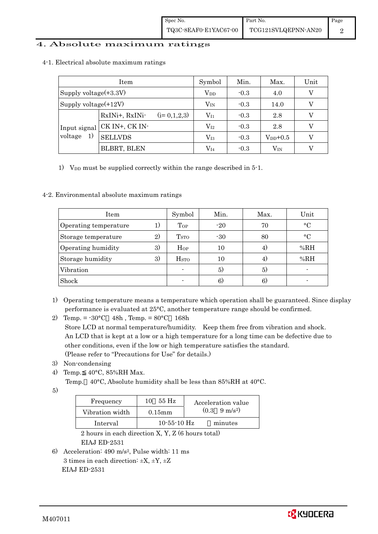#### 4. Absolute maximum ratings

|                               | Item                            | Symbol       | Min.   | Max.         | Unit |
|-------------------------------|---------------------------------|--------------|--------|--------------|------|
| Supply voltage $(+3.3V)$      | $\rm V_{DD}$                    | $-0.3$       | 4.0    | V            |      |
| Supply voltage $(+12V)$       |                                 | $\rm V_{IN}$ | $-0.3$ | 14.0         | V    |
| Input signal<br>voltage<br>1) | $(i=0,1,2,3)$<br>RxINi+, RxINi- | $V_{I1}$     | $-0.3$ | 2.8          |      |
|                               | CK IN+, CK IN-                  | $\rm V_{I2}$ | $-0.3$ | 2.8          | V    |
|                               | <b>SELLVDS</b>                  | $\rm V_{I3}$ | $-0.3$ | $V_{DD}+0.5$ | V    |
|                               | BLBRT, BLEN                     | $\rm V_{I4}$ | $-0.3$ | $\rm V_{IN}$ |      |

4-1. Electrical absolute maximum ratings

1) V<sub>DD</sub> must be supplied correctly within the range described in  $5$ -1.

#### 4-2. Environmental absolute maximum ratings

| Item                  |    | Symbol                  | Min.  | Max. | Unit        |
|-----------------------|----|-------------------------|-------|------|-------------|
| Operating temperature | 1) | Top                     | $-20$ | 70   | $\circ$ C   |
| Storage temperature   | 2) | <b>T</b> <sub>STO</sub> | $-30$ | 80   | $^{\circ}C$ |
| Operating humidity    | 3) | $H_{OP}$                | 10    | 4)   | %RH         |
| Storage humidity      | 3) | <b>H</b> <sub>sto</sub> | 10    | 4)   | %RH         |
| Vibration             |    |                         | 5)    | 5)   |             |
| Shock                 |    |                         | 6)    | 6)   |             |

- 1) Operating temperature means a temperature which operation shall be guaranteed. Since display performance is evaluated at 25°C, another temperature range should be confirmed.
- 2) Temp. =  $-30^{\circ}$ C 48h, Temp. =  $80^{\circ}$ C 168h Store LCD at normal temperature/humidity. Keep them free from vibration and shock. An LCD that is kept at a low or a high temperature for a long time can be defective due to other conditions, even if the low or high temperature satisfies the standard. (Please refer to "Precautions for Use" for details.)
- 3) Non-condensing
- 4) Temp. 40°C, 85%RH Max.
	- Temp. 40°C, Absolute humidity shall be less than 85%RH at 40°C.
- 5)

| Frequency       | 55 Hz<br>10   | Acceleration value            |
|-----------------|---------------|-------------------------------|
| Vibration width | $0.15$ m m    | $(0.3 \quad 9 \text{ m/s}^2)$ |
| Interval        | $10-55-10$ Hz | minutes                       |

 2 hours in each direction X, Y, Z (6 hours total) EIAJ ED-2531

6) Acceleration: 490 m/s2, Pulse width: 11 ms 3 times in each direction:  $\pm X$ ,  $\pm Y$ ,  $\pm Z$ EIAJ ED-2531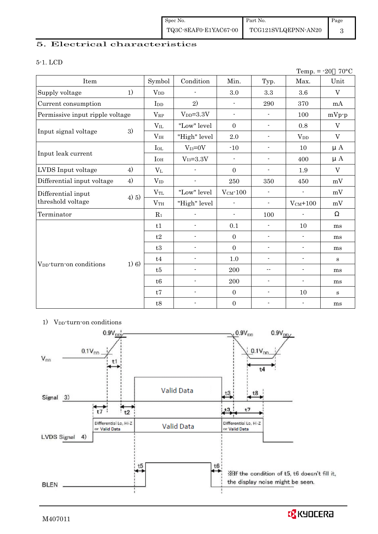# 5. Electrical characteristics

#### 5-1. LCD

|                                     |       |                 |                          |                          |                          | Temp. $= -20$            | $70^{\circ}$ C |
|-------------------------------------|-------|-----------------|--------------------------|--------------------------|--------------------------|--------------------------|----------------|
| Item                                |       | Symbol          | Condition                | Min.                     | Typ.                     | Max.                     | Unit           |
| Supply voltage                      | 1)    | $V_{DD}$        |                          | 3.0                      | $\!3.3\!$                | $3.6\,$                  | $\mathbf{V}$   |
| Current consumption                 |       | I <sub>DD</sub> | 2)                       | $\overline{\phantom{a}}$ | 290                      | 370                      | mA             |
| Permissive input ripple voltage     |       | $V_{RP}$        | $V_{DD}=3.3V$            | $\frac{1}{2}$            | $\overline{\phantom{a}}$ | 100                      | $mVp-p$        |
|                                     |       | $V_{IL}$        | "Low" level              | $\mathbf{0}$             | $\overline{\phantom{a}}$ | 0.8                      | $\mathbf V$    |
| Input signal voltage                | 3)    | V <sub>IH</sub> | "High" level             | 2.0                      | $\overline{\phantom{a}}$ | <b>V</b> <sub>DD</sub>   | $\rm V$        |
|                                     |       | $I_{OL}$        | $V_{I3}=0V$              | $-10$                    | $\overline{\phantom{a}}$ | 10                       | $\mu A$        |
| Input leak current                  |       | $I_{OH}$        | $V_{I3} = 3.3V$          | $\overline{\phantom{a}}$ | $\overline{\phantom{a}}$ | 400                      | $\mu A$        |
| LVDS Input voltage                  | 4)    | $V_{L}$         |                          | $\mathbf{0}$             | $\overline{\phantom{a}}$ | 1.9                      | $\mathbf V$    |
| Differential input voltage          | 4)    | $V_{ID}$        | $\overline{a}$           | 250                      | 350                      | 450                      | mV             |
| Differential input                  |       | $V_{TL}$        | "Low" level              | $V_{CM}$ -100            | $\overline{\phantom{a}}$ | $\overline{\phantom{a}}$ | mV             |
| threshold voltage                   | 4) 5) | V <sub>TH</sub> | "High" level             |                          | $\overline{\phantom{a}}$ | $V_{CM}$ +100            | mV             |
| Terminator                          |       | $R_1$           |                          | $\blacksquare$           | 100                      |                          |                |
|                                     |       | t1              |                          | 0.1                      | $\blacksquare$           | 10                       | ms             |
|                                     |       | t2              | $\overline{\phantom{a}}$ | $\boldsymbol{0}$         | $\blacksquare$           | $\overline{\phantom{a}}$ | ms             |
|                                     |       | t3              | $\overline{a}$           | $\mathbf{0}$             | $\blacksquare$           | $\blacksquare$           | ms             |
|                                     |       | t4              | $\blacksquare$           | 1.0                      | $\overline{\phantom{a}}$ | $\blacksquare$           | $\mathbf{s}$   |
| V <sub>DD</sub> -turn-on conditions | 1) 6) | t5              | $\overline{a}$           | 200                      | $-$                      | $\blacksquare$           | ms             |
|                                     |       | t6              | $\blacksquare$           | 200                      | $\overline{\phantom{a}}$ | $\overline{\phantom{a}}$ | ms             |
|                                     |       | t7              | $\overline{\phantom{0}}$ | $\overline{0}$           | $\overline{\phantom{a}}$ | 10                       | $\mathbf{s}$   |
|                                     |       | t8              |                          | $\boldsymbol{0}$         |                          | $\overline{\phantom{a}}$ | ms             |

<sup>1)</sup> V<sub>DD</sub>-turn-on conditions

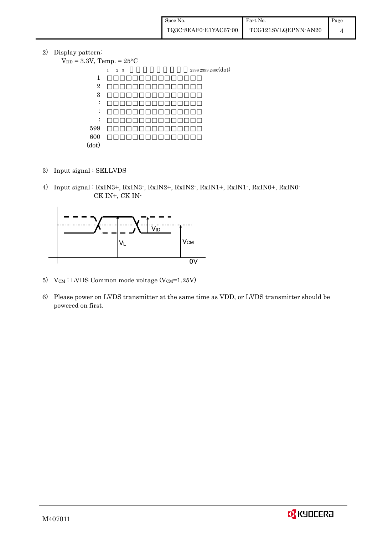2) Display pattern:

|                     | $V_{DD} = 3.3V$ , Temp. = $25^{\circ}$ C |
|---------------------|------------------------------------------|
| 2398 2399 2400(dot) | $2\quad 3$<br>$\mathbf{1}$               |
|                     | 1                                        |
|                     | $\overline{2}$                           |
|                     | 3                                        |
|                     | ٠<br>$\bullet$                           |
|                     | ٠<br>٠                                   |
|                     | ٠                                        |
|                     | 599                                      |
|                     | 600                                      |
|                     | (dot)                                    |

- 3) Input signal : SELLVDS
- 4) Input signal : RxIN3+, RxIN3-, RxIN2+, RxIN2-, RxIN1+, RxIN1-, RxIN0+, RxIN0- CK IN+, CK IN-



- 5)  $V_{CM}$ : LVDS Common mode voltage (V $_{CM}$ =1.25V)
- 6) Please power on LVDS transmitter at the same time as VDD, or LVDS transmitter should be powered on first.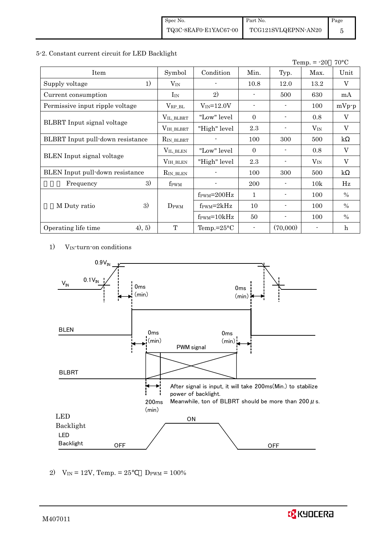#### 5-2. Constant current circuit for LED Backlight

|                                         |                    |                                  |                          |                | Temp. $= -20$ | $70^{\circ}$ C          |
|-----------------------------------------|--------------------|----------------------------------|--------------------------|----------------|---------------|-------------------------|
| Item                                    | Symbol             | Condition                        | Min.                     | Typ.           | Max.          | Unit                    |
| 1)<br>Supply voltage                    | $\rm V_{IN}$       |                                  | 10.8                     | 12.0           | 13.2          | V                       |
| Current consumption                     | $I_{IN}$           | 2)                               |                          | 500            | 630           | mA                      |
| Permissive input ripple voltage         | $V_{RP\_BL}$       | $V_{IN} = 12.0V$                 | $\overline{\phantom{a}}$ | $\blacksquare$ | 100           | $mVp-p$                 |
|                                         | VIL_BLBRT          | "Low" level                      | $\theta$                 |                | 0.8           | V                       |
| <b>BLBRT</b> Input signal voltage       | VIH_BLBRT          | "High" level                     | 2.3                      |                | $V_{IN}$      | V                       |
| <b>BLBRT</b> Input pull-down resistance | $R_{IN\_BLBRT}$    |                                  | 100                      | 300            | 500           | $\mathbf{k}$            |
|                                         | $V_{\rm IL\_BLEN}$ | "Low" level                      | $\theta$                 |                | 0.8           | $\mathbf V$             |
| BLEN Input signal voltage               | VIH_BLEN           | "High" level                     | $2.3\,$                  |                | $V_{IN}$      | $\overline{\mathbf{V}}$ |
| BLEN Input pull-down resistance         | $R_{IN\_BLEN}$     |                                  | 100                      | 300            | 500           | $\mathbf{k}$            |
| 3)<br>Frequency                         | f <sub>PWM</sub>   |                                  | 200                      |                | 10k           | Hz                      |
|                                         |                    | $f_{\text{PWM}} = 200 \text{Hz}$ | 1                        |                | 100           | $\%$                    |
| 3)<br>M Duty ratio                      | DPWM               | $f_{\text{PWM}}=2kHz$            | 10                       | $\blacksquare$ | 100           | $\%$                    |
|                                         |                    | $f_{\text{PWM}} = 10kHz$         | 50                       | $\blacksquare$ | 100           | $\%$                    |
| (4), 5)<br>Operating life time          | $\mathbf{T}$       | Temp.= $25^{\circ}$ C            |                          | (70,000)       |               | $\mathbf h$             |

1) VIN-turn-on conditions



2)  $V_{IN} = 12V$ , Temp. = 25  $D_{PWM} = 100\%$ 

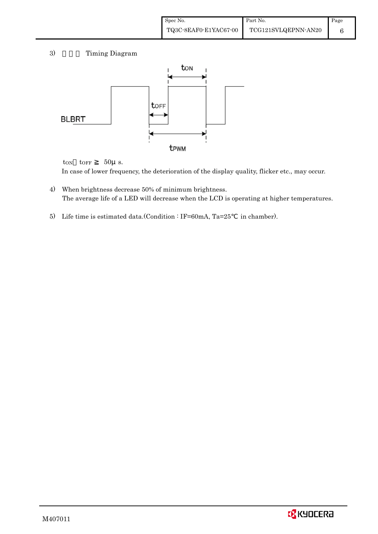| Spec No.              | Part No.            | Page |
|-----------------------|---------------------|------|
| TQ3C-8EAF0-E1YAC67-00 | TCG121SVLQEPNN-AN20 |      |

# 3) Timing Diagram



 $\text{top}$   $50\mu$  s. In case of lower frequency, the deterioration of the display quality, flicker etc., may occur.

- 4) When brightness decrease 50% of minimum brightness. The average life of a LED will decrease when the LCD is operating at higher temperatures.
- 5) Life time is estimated data.(Condition : IF=60mA, Ta=25 in chamber).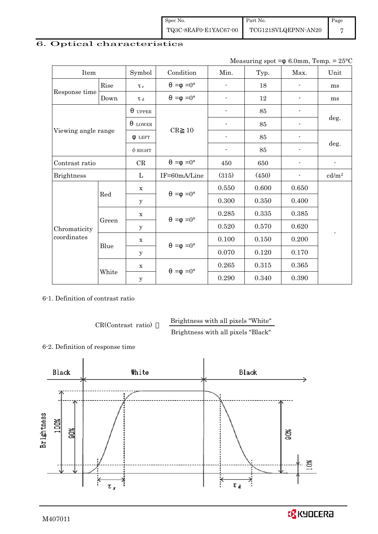Spec No. TQ3C-8EAF0-E1YAC67-00 Part No. TCG121SVLQEPNN-AN20 Page 7

# 6. Optical characteristics

Measuring spot =  $6.0$ mm, Temp. =  $25^{\circ}$ C

| Item                |       | Symbol              | Condition           | Min.                     | Typ.  | Max.           | Unit                     |
|---------------------|-------|---------------------|---------------------|--------------------------|-------|----------------|--------------------------|
|                     | Rise  | $\tau_r$            | $=0^{\circ}$<br>$=$ |                          | 18    |                | ms                       |
| Response time       | Down  | $\tau$ <sub>d</sub> | $=0^{\circ}$<br>$=$ | $\overline{\phantom{a}}$ | 12    |                | ms                       |
|                     |       | <b>UPPER</b>        |                     |                          | 85    |                |                          |
|                     |       | <b>LOWER</b>        | CR<br>10            |                          | 85    |                | deg.                     |
| Viewing angle range |       | <b>LEFT</b>         |                     | $\overline{\phantom{a}}$ | 85    |                |                          |
|                     |       | $\phi$ RIGHT        |                     | $\overline{\phantom{a}}$ | 85    | $\blacksquare$ | deg.                     |
| Contrast ratio      |       | $\rm CR$            | $=0^{\circ}$<br>$=$ | 450                      | 650   |                | $\overline{\phantom{a}}$ |
| <b>Brightness</b>   |       | L                   | IF=60mA/Line        | (315)                    | (450) |                | cd/m <sup>2</sup>        |
|                     |       | $\mathbf X$         | $=-0^{\circ}$       | 0.550                    | 0.600 | 0.650          |                          |
|                     | Red   | У                   |                     | 0.300                    | 0.350 | 0.400          |                          |
|                     |       | $\mathbf X$         | $=0^{\circ}$<br>$=$ | 0.285                    | 0.335 | 0.385          |                          |
| Chromaticity        | Green | $\mathbf{y}$        |                     | 0.520                    | 0.570 | 0.620          |                          |
| coordinates         |       | $\mathbf x$         | $=0^{\circ}$<br>$=$ | 0.100                    | 0.150 | 0.200          |                          |
|                     | Blue  | y                   |                     | 0.070                    | 0.120 | 0.170          |                          |
|                     |       | $\mathbf X$         |                     | 0.265                    | 0.315 | 0.365          |                          |
|                     | White | y                   | $=0^{\circ}$<br>$=$ | 0.290                    | 0.340 | 0.390          |                          |

6-1. Definition of contrast ratio

CR(Contrast ratio) Brightness with all pixels "White"

Brightness with all pixels "Black"

6-2. Definition of response time

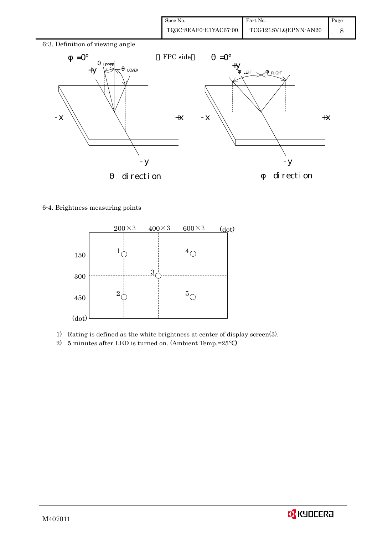| Spec No.              | Part No.            | Page |
|-----------------------|---------------------|------|
| TQ3C-8EAF0-E1YAC67-00 | TCG121SVLQEPNN-AN20 |      |

## 6-3. Definition of viewing angle



### 6-4. Brightness measuring points



- 1) Rating is defined as the white brightness at center of display screen(3).
- 2) 5 minutes after LED is turned on. (Ambient Temp.=25 )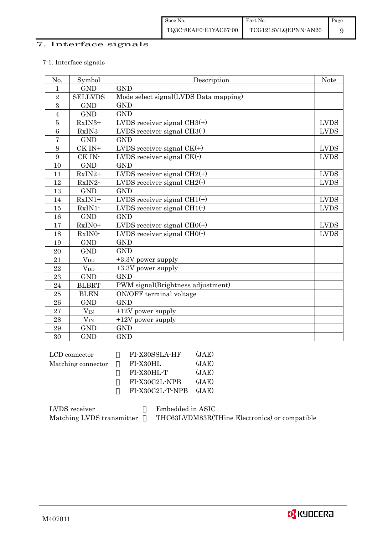# 7. Interface signals

#### 7-1. Interface signals

| No.            | Symbol                 | Description                           | Note        |
|----------------|------------------------|---------------------------------------|-------------|
| 1              | <b>GND</b>             | <b>GND</b>                            |             |
| $\overline{2}$ | <b>SELLVDS</b>         | Mode select signal(LVDS Data mapping) |             |
| 3              | <b>GND</b>             | <b>GND</b>                            |             |
| $\overline{4}$ | <b>GND</b>             | <b>GND</b>                            |             |
| $\overline{5}$ | RxIN3+                 | LVDS receiver signal $CH3(+)$         | <b>LVDS</b> |
| 6              | RxIN3-                 | LVDS receiver signal CH3(-)           | <b>LVDS</b> |
| $\overline{7}$ | <b>GND</b>             | <b>GND</b>                            |             |
| 8              | CK IN+                 | LVDS receiver signal $CK(+)$          | <b>LVDS</b> |
| 9              | CK IN-                 | LVDS receiver signal $CK(\cdot)$      | <b>LVDS</b> |
| 10             | <b>GND</b>             | <b>GND</b>                            |             |
| 11             | $RxIN2+$               | LVDS receiver signal $CH2(+)$         | <b>LVDS</b> |
| 12             | RxIN2-                 | LVDS receiver signal $CH2(\cdot)$     | <b>LVDS</b> |
| 13             | <b>GND</b>             | <b>GND</b>                            |             |
| 14             | $RxIN1+$               | LVDS receiver signal $CH1(+)$         | <b>LVDS</b> |
| 15             | RxIN1-                 | LVDS receiver signal $CH1(\cdot)$     | <b>LVDS</b> |
| 16             | <b>GND</b>             | <b>GND</b>                            |             |
| 17             | $RxIN0+$               | LVDS receiver signal $CHO(+)$         | <b>LVDS</b> |
| 18             | RxIN0-                 | LVDS receiver signal $CHO(·)$         | <b>LVDS</b> |
| 19             | <b>GND</b>             | <b>GND</b>                            |             |
| 20             | <b>GND</b>             | <b>GND</b>                            |             |
| 21             | $V_{DD}$               | +3.3V power supply                    |             |
| 22             | <b>V</b> <sub>DD</sub> | +3.3V power supply                    |             |
| 23             | <b>GND</b>             | <b>GND</b>                            |             |
| 24             | <b>BLBRT</b>           | PWM signal(Brightness adjustment)     |             |
| 25             | <b>BLEN</b>            | ON/OFF terminal voltage               |             |
| 26             | <b>GND</b>             | <b>GND</b>                            |             |
| 27             | $\rm V_{IN}$           | $+12V$ power supply                   |             |
| 28             | $V_{IN}$               | +12V power supply                     |             |
| 29             | <b>GND</b>             | <b>GND</b>                            |             |
| 30             | <b>GND</b>             | <b>GND</b>                            |             |

| FI-X30SSLA-HF   | (JAE) |
|-----------------|-------|
| FI-X30HL        | (JAE) |
| FI-X30HL-T      | (JAE) |
| FI-X30C2L-NPB   | (JAE) |
| FI-X30C2L-T-NPB | (JAE) |
|                 |       |

| LVDS receiver             | Embedded in ASIC                              |
|---------------------------|-----------------------------------------------|
| Matching LVDS transmitter | THC63LVDM83R(THine Electronics) or compatible |

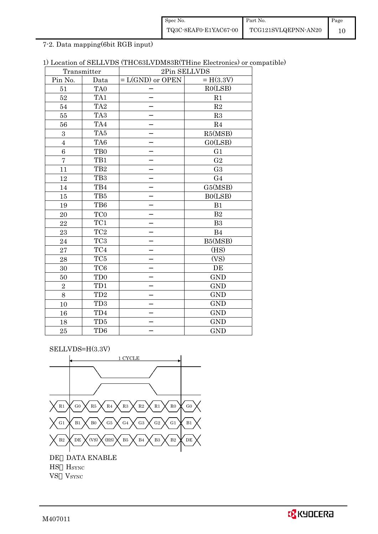| Spec No.              | Part No.            | Page |
|-----------------------|---------------------|------|
| TQ3C-8EAF0-E1YAC67-00 | TCG121SVLQEPNN-AN20 |      |

7-2. Data mapping(6bit RGB input)

|  | 1) Location of SELLVDS (THC63LVDM83R(THine Electronics) or compatible) |  |  |  |
|--|------------------------------------------------------------------------|--|--|--|
|--|------------------------------------------------------------------------|--|--|--|

| Transmitter    |                             | 2Pin SELLVDS       |                |
|----------------|-----------------------------|--------------------|----------------|
| Pin No.        | Data                        | $= L(GND)$ or OPEN | $= H(3.3V)$    |
| 51             | TA0                         |                    | RO(LSB)        |
| 52             | TA1                         |                    | R1             |
| 54             | TA <sub>2</sub>             |                    | R2             |
| 55             | TA <sub>3</sub>             |                    | R3             |
| 56             | TA4                         |                    | R <sub>4</sub> |
| 3              | TA5                         |                    | R5(MSB)        |
| $\overline{4}$ | TA6                         |                    | GO(LSB)        |
| 6              | T <sub>B0</sub>             |                    | G <sub>1</sub> |
| $\overline{7}$ | TB1                         |                    | G <sub>2</sub> |
| 11             | TB <sub>2</sub>             |                    | G <sub>3</sub> |
| 12             | TB <sub>3</sub>             |                    | G <sub>4</sub> |
| 14             | TB4                         |                    | G5(MSB)        |
| 15             | TB5                         |                    | B0(LSB)        |
| 19             | TB6                         |                    | B1             |
| 20             | TC <sub>0</sub>             |                    | B <sub>2</sub> |
| 22             | TC1                         |                    | B <sub>3</sub> |
| 23             | $\rm TC2$                   |                    | <b>B4</b>      |
| 24             | TC <sub>3</sub>             |                    | B5(MSB)        |
| 27             | TC4                         |                    | (HS)           |
| 28             | TC <sub>5</sub>             |                    | (VS)           |
| 30             | TC <sub>6</sub>             |                    | DE             |
| 50             | T <sub>D</sub> <sub>0</sub> |                    | <b>GND</b>     |
| $\overline{2}$ | TD1                         |                    | <b>GND</b>     |
| 8              | TD <sub>2</sub>             |                    | <b>GND</b>     |
| 10             | TD <sub>3</sub>             |                    | <b>GND</b>     |
| 16             | TD4                         |                    | <b>GND</b>     |
| 18             | TD5                         |                    | <b>GND</b>     |
| 25             | TD <sub>6</sub>             |                    | <b>GND</b>     |

SELLVDS=H(3.3V)

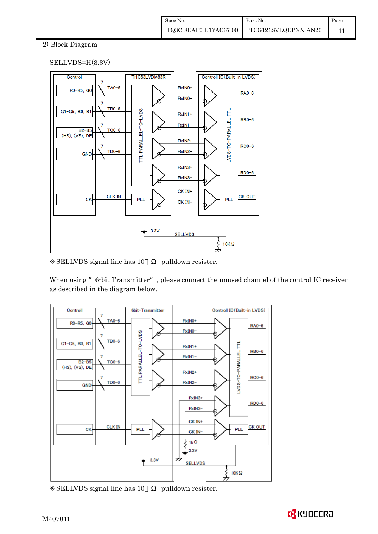### 2) Block Diagram

### SELLVDS=H(3.3V)



SELLVDS signal line has 10 pulldown resister.

When using "6-bit Transmitter", please connect the unused channel of the control IC receiver as described in the diagram below.



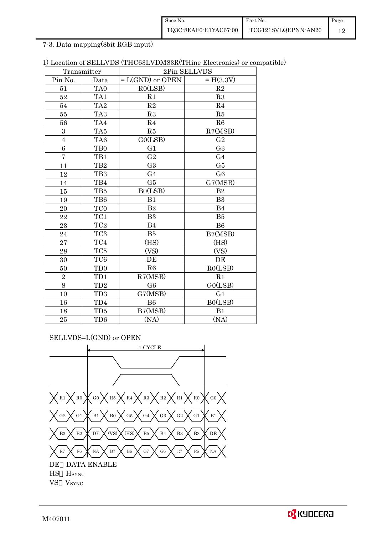| Spec No.              | Part No.            | Page |
|-----------------------|---------------------|------|
| TQ3C-8EAF0-E1YAC67-00 | TCG121SVLQEPNN-AN20 |      |

7-3. Data mapping(8bit RGB input)

|  |  | 1) Location of SELLVDS (THC63LVDM83R(THine Electronics) or compatible) |  |  |
|--|--|------------------------------------------------------------------------|--|--|
|--|--|------------------------------------------------------------------------|--|--|

| Transmitter             |                  | 2Pin SELLVDS       |                |
|-------------------------|------------------|--------------------|----------------|
| Pin No.                 | Data             | $= L(GND)$ or OPEN | $= H(3.3V)$    |
| 51                      | TA <sub>0</sub>  | RO(LSB)            | R2             |
| 52                      | TA1              | R1                 | R3             |
| 54                      | TA <sub>2</sub>  | $\mathbf{R}2$      | R <sub>4</sub> |
| 55                      | TA <sub>3</sub>  | R3                 | R5             |
| 56                      | TA4              | R <sub>4</sub>     | R6             |
| 3                       | TA5              | R5                 | R7(MSB)        |
| $\overline{\mathbf{4}}$ | TA6              | G0(LSB)            | G <sub>2</sub> |
| 6                       | T <sub>B</sub> 0 | G1                 | G <sub>3</sub> |
| $\overline{7}$          | TB1              | G <sub>2</sub>     | G <sub>4</sub> |
| 11                      | TB <sub>2</sub>  | G <sub>3</sub>     | G5             |
| 12                      | TB <sub>3</sub>  | G <sub>4</sub>     | G <sub>6</sub> |
| 14                      | TB4              | G5                 | G7(MSB)        |
| 15                      | TB5              | B0(LSB)            | B <sub>2</sub> |
| 19                      | TB6              | B1                 | B <sub>3</sub> |
| 20                      | TC <sub>0</sub>  | B <sub>2</sub>     | <b>B4</b>      |
| 22                      | $\rm TC1$        | B <sub>3</sub>     | B5             |
| 23                      | TC <sub>2</sub>  | B <sub>4</sub>     | B <sub>6</sub> |
| 24                      | TC <sub>3</sub>  | B5                 | B7(MSB)        |
| 27                      | TC4              | (HS)               | (HS)           |
| 28                      | TC <sub>5</sub>  | (VS)               | (VS)           |
| 30                      | TC <sub>6</sub>  | DE                 | DE             |
| 50                      | TD <sub>0</sub>  | R6                 | RO(LSB)        |
| $\overline{2}$          | TD1              | R7(MSB)            | R1             |
| 8                       | $\rm TD2$        | G <sub>6</sub>     | GO(LSB)        |
| 10                      | TD <sub>3</sub>  | G7(MSB)            | G <sub>1</sub> |
| 16                      | TD4              | <b>B6</b>          | B0(LSB)        |
| 18                      | TD5              | B7(MSB)            | B1             |
| 25                      | TD <sub>6</sub>  | (NA)               | (NA)           |

SELLVDS=L(GND) or OPEN

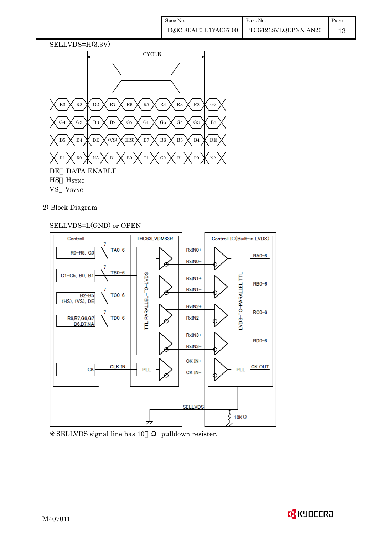

2) Block Diagram

### SELLVDS=L(GND) or OPEN



SELLVDS signal line has 10 pulldown resister.

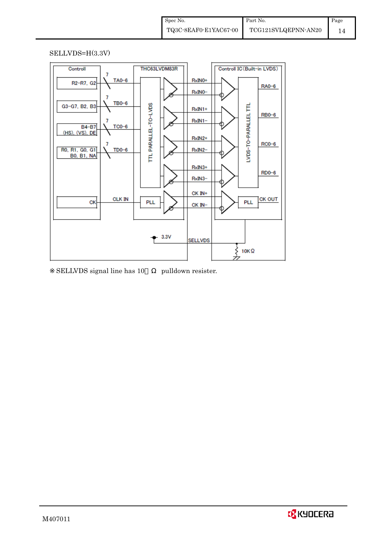#### SELLVDS=H(3.3V)



SELLVDS signal line has 10 pulldown resister.

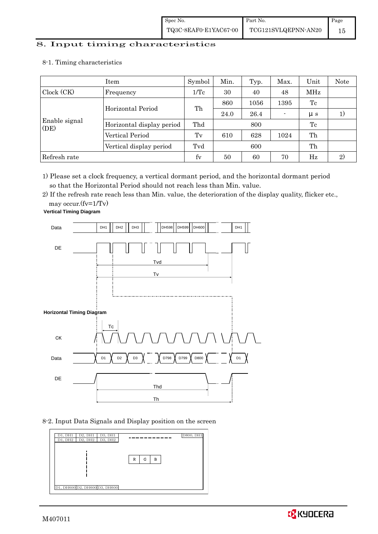# 8. Input timing characteristics  $\overline{\phantom{a}}$

8-1. Timing characteristics

|                       | Symbol                    | Min. | Typ. | Max. | Unit        | Note    |    |
|-----------------------|---------------------------|------|------|------|-------------|---------|----|
| Clock (CK)            | Frequency                 | 1/Tc | 30   | 40   | 48          | MHz     |    |
|                       | Horizontal Period         | Th   | 860  | 1056 | 1395        | Tc      |    |
|                       |                           |      | 24.0 | 26.4 |             | $\mu s$ | 1) |
| Enable signal<br>(DE) | Horizontal display period | Thd  | 800  |      |             | Tc      |    |
|                       | Vertical Period           | Tv   | 610  | 628  | 1024        | Th      |    |
|                       | Vertical display period   | Tvd  | 600  |      |             | Th      |    |
| Refresh rate          | fy                        | 50   | 60   | 70   | $_{\rm Hz}$ | 2)      |    |

1) Please set a clock frequency, a vertical dormant period, and the horizontal dormant period so that the Horizontal Period should not reach less than Min. value.

2) If the refresh rate reach less than Min. value, the deterioration of the display quality, flicker etc.,

may occur.(fv=1/Tv)



8-2. Input Data Signals and Display position on the screen



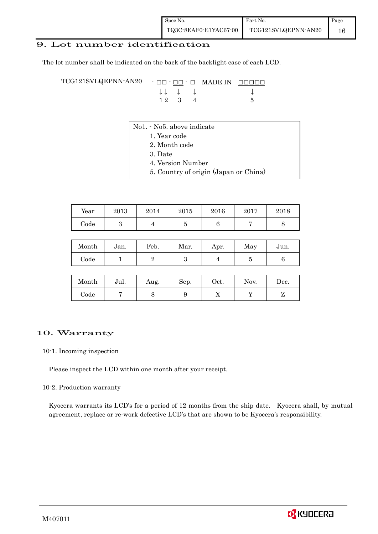### 9. Lot number identification

The lot number shall be indicated on the back of the backlight case of each LCD.

TCG121SVLQEPNN-AN20 - □□ - □□ - □ MADE IN □□□□□ ↓ ↓ ↓ ↓ ↓  $12 \quad 3 \quad 4$  5

- No1. No5. above indicate
	- 1. Year code
		- 2. Month code
		- 3. Date
		- 4. Version Number
	- 5. Country of origin (Japan or China)

| Year | 2013 | 2014 | 2015 | 2016 | 2017 | 2018 |
|------|------|------|------|------|------|------|
| Code |      |      |      |      |      |      |

| Month | Jan. | Feb. | Mar. | Apr. | May | Jun. |  |
|-------|------|------|------|------|-----|------|--|
| Code  |      |      |      |      |     |      |  |

| Month      | Jul. | Aug. | Sep. | Oct. | Nov. | Dec. |
|------------|------|------|------|------|------|------|
| $\rm Code$ |      |      |      | ∡⊾   |      |      |

#### 10. Warranty

#### 10-1. Incoming inspection

Please inspect the LCD within one month after your receipt.

#### 10-2. Production warranty

 Kyocera warrants its LCD's for a period of 12 months from the ship date. Kyocera shall, by mutual agreement, replace or re-work defective LCD's that are shown to be Kyocera's responsibility.

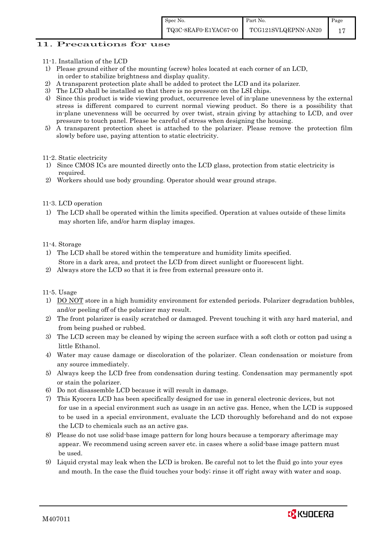#### 11. Precautions for use

- 11-1. Installation of the LCD
- 1) Please ground either of the mounting (screw) holes located at each corner of an LCD, in order to stabilize brightness and display quality.
- 2) A transparent protection plate shall be added to protect the LCD and its polarizer.
- 3) The LCD shall be installed so that there is no pressure on the LSI chips.
- 4) Since this product is wide viewing product, occurrence level of in-plane unevenness by the external stress is different compared to current normal viewing product. So there is a possibility that in-plane unevenness will be occurred by over twist, strain giving by attaching to LCD, and over pressure to touch panel. Please be careful of stress when designing the housing.
- 5) A transparent protection sheet is attached to the polarizer. Please remove the protection film slowly before use, paying attention to static electricity.

#### 11-2. Static electricity

- 1) Since CMOS ICs are mounted directly onto the LCD glass, protection from static electricity is required.
- 2) Workers should use body grounding. Operator should wear ground straps.

#### 11-3. LCD operation

1) The LCD shall be operated within the limits specified. Operation at values outside of these limits may shorten life, and/or harm display images.

#### 11-4. Storage

- 1) The LCD shall be stored within the temperature and humidity limits specified. Store in a dark area, and protect the LCD from direct sunlight or fluorescent light.
- 2) Always store the LCD so that it is free from external pressure onto it.

11-5. Usage

- 1) DO NOT store in a high humidity environment for extended periods. Polarizer degradation bubbles, and/or peeling off of the polarizer may result.
- 2) The front polarizer is easily scratched or damaged. Prevent touching it with any hard material, and from being pushed or rubbed.
- 3) The LCD screen may be cleaned by wiping the screen surface with a soft cloth or cotton pad using a little Ethanol.
- 4) Water may cause damage or discoloration of the polarizer. Clean condensation or moisture from any source immediately.
- 5) Always keep the LCD free from condensation during testing. Condensation may permanently spot or stain the polarizer.
- 6) Do not disassemble LCD because it will result in damage.
- 7) This Kyocera LCD has been specifically designed for use in general electronic devices, but not for use in a special environment such as usage in an active gas. Hence, when the LCD is supposed to be used in a special environment, evaluate the LCD thoroughly beforehand and do not expose the LCD to chemicals such as an active gas.
- 8) Please do not use solid-base image pattern for long hours because a temporary afterimage may appear. We recommend using screen saver etc. in cases where a solid-base image pattern must be used.
- 9) Liquid crystal may leak when the LCD is broken. Be careful not to let the fluid go into your eyes and mouth. In the case the fluid touches your body; rinse it off right away with water and soap.

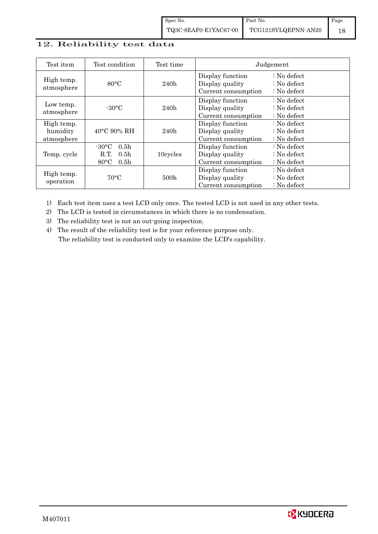# 12. Reliability test data

| Test item                            | Test condition                                                                                        | Test time | Judgement                                                  |                                                                            |  |  |
|--------------------------------------|-------------------------------------------------------------------------------------------------------|-----------|------------------------------------------------------------|----------------------------------------------------------------------------|--|--|
| High temp.<br>atmosphere             | $80^{\circ}$ C                                                                                        | 240h      | Display function<br>Display quality<br>Current consumption | $\therefore$ No defect<br>$\therefore$ No defect<br>$\therefore$ No defect |  |  |
| Low temp.<br>atmosphere              | $-30$ °C                                                                                              | 240h      | Display function<br>Display quality<br>Current consumption | $\therefore$ No defect<br>: No defect<br>$\therefore$ No defect            |  |  |
| High temp.<br>humidity<br>atmosphere | $40^{\circ}$ C 90% RH                                                                                 | 240h      | Display function<br>Display quality<br>Current consumption | : No defect<br>$\therefore$ No defect<br>$\therefore$ No defect            |  |  |
| Temp. cycle                          | $-30^{\circ}$ C<br>0.5 <sub>h</sub><br>0.5 <sub>h</sub><br>R.T.<br>$80^{\circ}$ C<br>0.5 <sub>h</sub> | 10cycles  | Display function<br>Display quality<br>Current consumption | $\therefore$ No defect<br>$\therefore$ No defect<br>$\therefore$ No defect |  |  |
| High temp.<br>operation              | $70^{\circ}$ C                                                                                        | 500h      | Display function<br>Display quality<br>Current consumption | : No defect<br>$\therefore$ No defect<br>$\therefore$ No defect            |  |  |

1) Each test item uses a test LCD only once. The tested LCD is not used in any other tests.

2) The LCD is tested in circumstances in which there is no condensation.

3) The reliability test is not an out-going inspection.

4) The result of the reliability test is for your reference purpose only. The reliability test is conducted only to examine the LCD's capability.

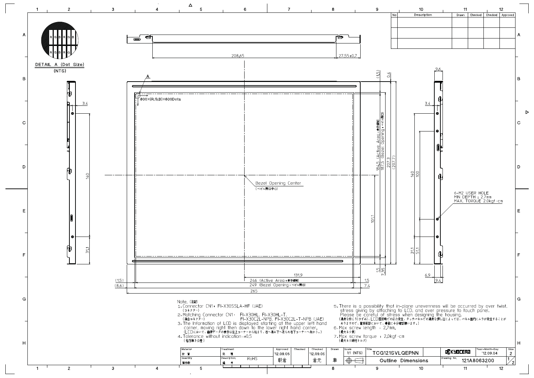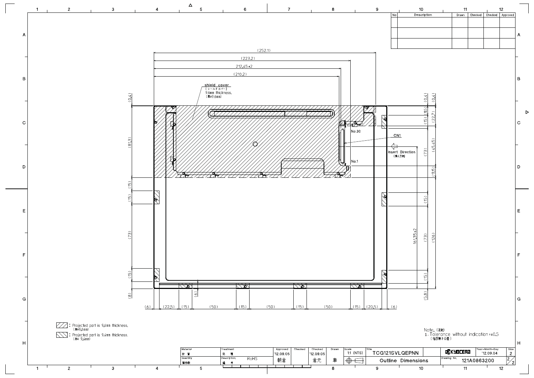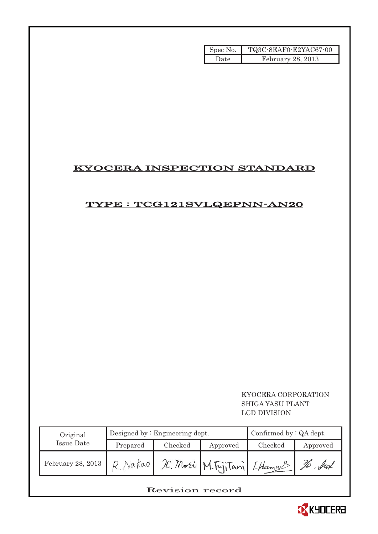| Spec No. | TQ3C-8EAF0-E2YAC67-00 |
|----------|-----------------------|
| Date.    | February $28, 2013$   |

# KYOCERA INSPECTION STANDARD

# TYPE : TCG121SVLQEPNN-AN20

 KYOCERA CORPORATION SHIGA YASU PLANT LCD DIVISION

| Original          |          | Designed by $:$ Engineering dept. | Confirmed by $:QA$ dept. |                               |          |
|-------------------|----------|-----------------------------------|--------------------------|-------------------------------|----------|
| Issue Date        | Prepared | Checked                           | Approved                 | Checked                       | Approved |
| February 28, 2013 | Nakao    |                                   |                          | IC. Mori M. FijiTani [Hamans] | $.$ for  |

# Revision record

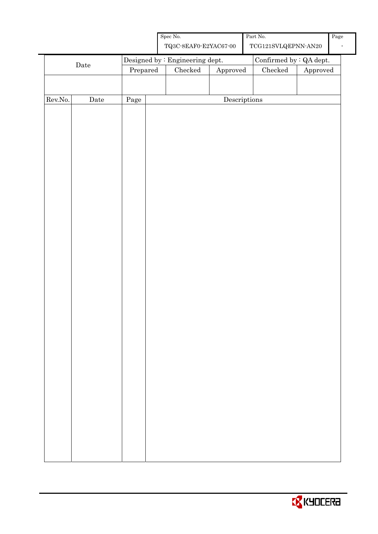

|         |              |          | ${\rm Spec}$ No.<br>${\bf TQ3C\text{-}SEAF0\text{-}E2YAC67\text{-}00}$ |              | Part No.<br>$\operatorname{TCG121SVLQEPNN-AN20}$ |          | Page |
|---------|--------------|----------|------------------------------------------------------------------------|--------------|--------------------------------------------------|----------|------|
|         | $\rm{Date}$  |          | Designed by : Engineering dept.                                        |              | Confirmed by $\colon$ QA dept.                   |          |      |
|         |              | Prepared | $\rm Checked$                                                          | Approved     | $\rm Checked$                                    | Approved |      |
|         |              |          |                                                                        |              |                                                  |          |      |
| Rev.No. | ${\it Date}$ | Page     |                                                                        | Descriptions |                                                  |          |      |
|         |              |          |                                                                        |              |                                                  |          |      |
|         |              |          |                                                                        |              |                                                  |          |      |
|         |              |          |                                                                        |              |                                                  |          |      |
|         |              |          |                                                                        |              |                                                  |          |      |
|         |              |          |                                                                        |              |                                                  |          |      |
|         |              |          |                                                                        |              |                                                  |          |      |
|         |              |          |                                                                        |              |                                                  |          |      |
|         |              |          |                                                                        |              |                                                  |          |      |
|         |              |          |                                                                        |              |                                                  |          |      |
|         |              |          |                                                                        |              |                                                  |          |      |
|         |              |          |                                                                        |              |                                                  |          |      |
|         |              |          |                                                                        |              |                                                  |          |      |
|         |              |          |                                                                        |              |                                                  |          |      |
|         |              |          |                                                                        |              |                                                  |          |      |
|         |              |          |                                                                        |              |                                                  |          |      |
|         |              |          |                                                                        |              |                                                  |          |      |
|         |              |          |                                                                        |              |                                                  |          |      |
|         |              |          |                                                                        |              |                                                  |          |      |
|         |              |          |                                                                        |              |                                                  |          |      |
|         |              |          |                                                                        |              |                                                  |          |      |
|         |              |          |                                                                        |              |                                                  |          |      |
|         |              |          |                                                                        |              |                                                  |          |      |
|         |              |          |                                                                        |              |                                                  |          |      |
|         |              |          |                                                                        |              |                                                  |          |      |
|         |              |          |                                                                        |              |                                                  |          |      |
|         |              |          |                                                                        |              |                                                  |          |      |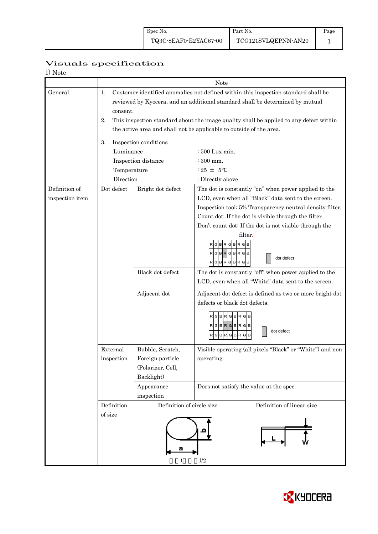# Page 1

# Visuals specification

| 1) Note |
|---------|
|---------|

|                 |                |                                                                     | Note                                                                                                                                                                |  |  |  |  |  |
|-----------------|----------------|---------------------------------------------------------------------|---------------------------------------------------------------------------------------------------------------------------------------------------------------------|--|--|--|--|--|
| General         | 1.<br>consent. |                                                                     | Customer identified anomalies not defined within this inspection standard shall be<br>reviewed by Kyocera, and an additional standard shall be determined by mutual |  |  |  |  |  |
|                 | 2.             |                                                                     | This inspection standard about the image quality shall be applied to any defect within                                                                              |  |  |  |  |  |
|                 |                | the active area and shall not be applicable to outside of the area. |                                                                                                                                                                     |  |  |  |  |  |
|                 | 3.             | Inspection conditions                                               |                                                                                                                                                                     |  |  |  |  |  |
|                 | Luminance      | : 500 Lux min.                                                      |                                                                                                                                                                     |  |  |  |  |  |
|                 |                | Inspection distance                                                 | $\div$ 300 mm.                                                                                                                                                      |  |  |  |  |  |
|                 | Temperature    |                                                                     | $: 25 + 5$                                                                                                                                                          |  |  |  |  |  |
|                 | Direction      |                                                                     | : Directly above                                                                                                                                                    |  |  |  |  |  |
| Definition of   | Dot defect     | Bright dot defect                                                   | The dot is constantly "on" when power applied to the                                                                                                                |  |  |  |  |  |
| inspection item |                |                                                                     | LCD, even when all "Black" data sent to the screen.                                                                                                                 |  |  |  |  |  |
|                 |                |                                                                     | Inspection tool: 5% Transparency neutral density filter.                                                                                                            |  |  |  |  |  |
|                 |                |                                                                     | Count dot: If the dot is visible through the filter.                                                                                                                |  |  |  |  |  |
|                 |                |                                                                     | Don't count dot: If the dot is not visible through the<br>filter.                                                                                                   |  |  |  |  |  |
|                 |                |                                                                     | <b>BRGB</b><br>G<br>R G B<br>$\mathbf{p}$<br>R<br>G<br>в<br>G B<br>dot defect<br>R G B<br>R<br>BR.<br>G                                                             |  |  |  |  |  |
|                 |                | Black dot defect                                                    | The dot is constantly "off" when power applied to the                                                                                                               |  |  |  |  |  |
|                 |                |                                                                     | LCD, even when all "White" data sent to the screen.                                                                                                                 |  |  |  |  |  |
|                 |                | Adjacent dot                                                        | Adjacent dot defect is defined as two or more bright dot                                                                                                            |  |  |  |  |  |
|                 |                |                                                                     | defects or black dot defects.                                                                                                                                       |  |  |  |  |  |
|                 |                |                                                                     | G<br><b>BR</b><br>G B R<br>RGBRGBRGB<br>dot defect<br>G<br><b>BR</b><br>G<br>в<br>G<br>в                                                                            |  |  |  |  |  |
|                 | External       | Bubble, Scratch,                                                    | Visible operating (all pixels "Black" or "White") and non                                                                                                           |  |  |  |  |  |
|                 | inspection     | Foreign particle                                                    | operating.                                                                                                                                                          |  |  |  |  |  |
|                 |                | (Polarizer, Cell,                                                   |                                                                                                                                                                     |  |  |  |  |  |
|                 |                | Backlight)                                                          |                                                                                                                                                                     |  |  |  |  |  |
|                 |                | Appearance                                                          | Does not satisfy the value at the spec.                                                                                                                             |  |  |  |  |  |
|                 |                | inspection                                                          |                                                                                                                                                                     |  |  |  |  |  |
|                 | Definition     | Definition of circle size                                           | Definition of linear size                                                                                                                                           |  |  |  |  |  |
|                 | of size        |                                                                     | )/2                                                                                                                                                                 |  |  |  |  |  |